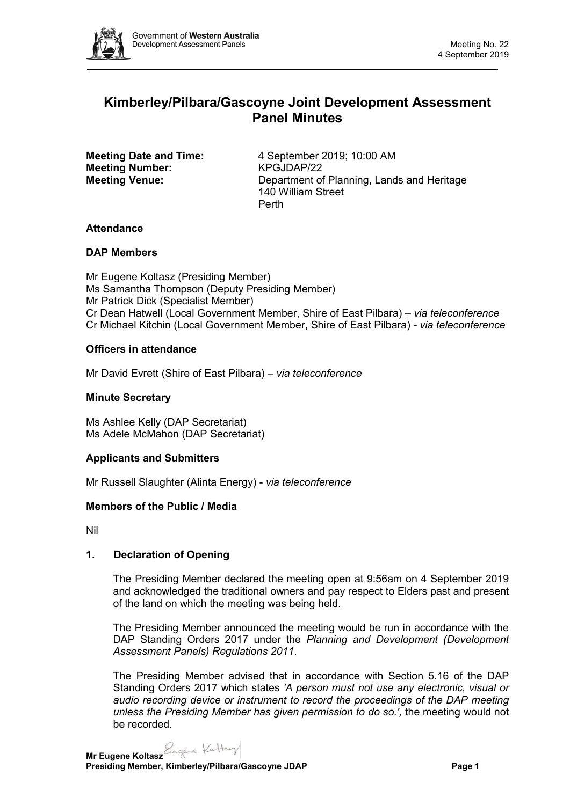

# **Kimberley/Pilbara/Gascoyne Joint Development Assessment Panel Minutes**

**Meeting Number:** 

**Meeting Date and Time:** 4 September 2019; 10:00 AM<br> **Meeting Number:** KPGJDAP/22 **Meeting Venue:** Department of Planning, Lands and Heritage 140 William Street Perth

# **Attendance**

# **DAP Members**

Mr Eugene Koltasz (Presiding Member) Ms Samantha Thompson (Deputy Presiding Member) Mr Patrick Dick (Specialist Member) Cr Dean Hatwell (Local Government Member, Shire of East Pilbara) – *via teleconference* Cr Michael Kitchin (Local Government Member, Shire of East Pilbara) *- via teleconference*

# **Officers in attendance**

Mr David Evrett (Shire of East Pilbara) *– via teleconference*

## **Minute Secretary**

Ms Ashlee Kelly (DAP Secretariat) Ms Adele McMahon (DAP Secretariat)

### **Applicants and Submitters**

Mr Russell Slaughter (Alinta Energy) - *via teleconference*

### **Members of the Public / Media**

Nil

# **1. Declaration of Opening**

The Presiding Member declared the meeting open at 9:56am on 4 September 2019 and acknowledged the traditional owners and pay respect to Elders past and present of the land on which the meeting was being held.

The Presiding Member announced the meeting would be run in accordance with the DAP Standing Orders 2017 under the *Planning and Development (Development Assessment Panels) Regulations 2011*.

The Presiding Member advised that in accordance with Section 5.16 of the DAP Standing Orders 2017 which states *'A person must not use any electronic, visual or audio recording device or instrument to record the proceedings of the DAP meeting unless the Presiding Member has given permission to do so.',* the meeting would not be recorded.

**Mr Eugene Koltasz**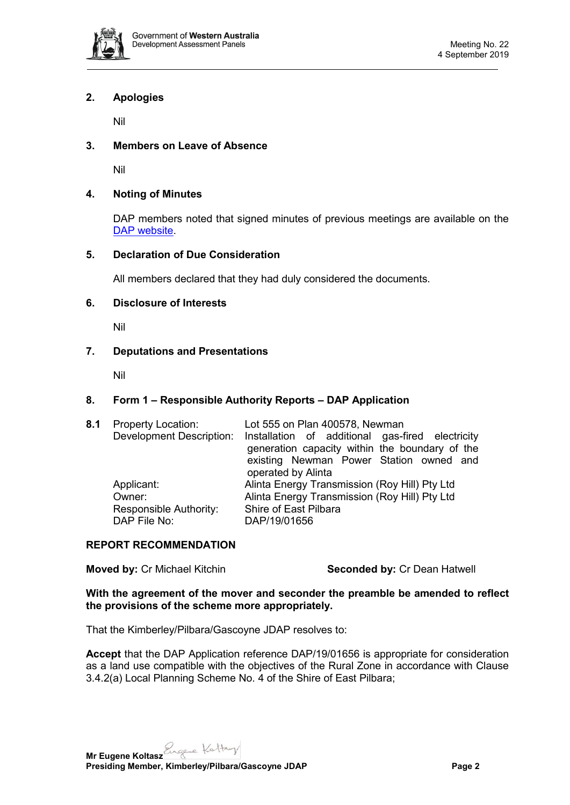

## **2. Apologies**

Nil

## **3. Members on Leave of Absence**

Nil

## **4. Noting of Minutes**

DAP members noted that signed minutes of previous meetings are available on the [DAP website.](https://www.dplh.wa.gov.au/about/development-assessment-panels/daps-agendas-and-minutes)

### **5. Declaration of Due Consideration**

All members declared that they had duly considered the documents.

#### **6. Disclosure of Interests**

Nil

### **7. Deputations and Presentations**

Nil

#### **8. Form 1 – Responsible Authority Reports – DAP Application**

| 8.1 | <b>Property Location:</b> | Lot 555 on Plan 400578, Newman<br>Development Description: Installation of additional gas-fired electricity<br>generation capacity within the boundary of the<br>existing Newman Power Station owned and<br>operated by Alinta |  |
|-----|---------------------------|--------------------------------------------------------------------------------------------------------------------------------------------------------------------------------------------------------------------------------|--|
|     | Applicant:                | Alinta Energy Transmission (Roy Hill) Pty Ltd                                                                                                                                                                                  |  |
|     | Owner:                    | Alinta Energy Transmission (Roy Hill) Pty Ltd                                                                                                                                                                                  |  |
|     | Responsible Authority:    | Shire of East Pilbara                                                                                                                                                                                                          |  |
|     | DAP File No:              | DAP/19/01656                                                                                                                                                                                                                   |  |

#### **REPORT RECOMMENDATION**

**Moved by: Cr Michael Kitchin <b>Seconded by: Cr Dean Hatwell** 

**With the agreement of the mover and seconder the preamble be amended to reflect the provisions of the scheme more appropriately.**

That the Kimberley/Pilbara/Gascoyne JDAP resolves to:

**Accept** that the DAP Application reference DAP/19/01656 is appropriate for consideration as a land use compatible with the objectives of the Rural Zone in accordance with Clause 3.4.2(a) Local Planning Scheme No. 4 of the Shire of East Pilbara;